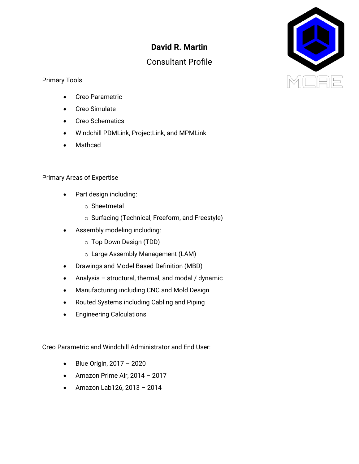## **David R. Martin**

## Consultant Profile



- Creo Parametric
- Creo Simulate
- Creo Schematics
- Windchill PDMLink, ProjectLink, and MPMLink
- Mathcad

## Primary Areas of Expertise

- Part design including:
	- o Sheetmetal
	- o Surfacing (Technical, Freeform, and Freestyle)
	- Assembly modeling including:
		- o Top Down Design (TDD)
		- o Large Assembly Management (LAM)
- Drawings and Model Based Definition (MBD)
- Analysis structural, thermal, and modal / dynamic
- Manufacturing including CNC and Mold Design
- Routed Systems including Cabling and Piping
- Engineering Calculations

Creo Parametric and Windchill Administrator and End User:

- Blue Origin, 2017 2020
- Amazon Prime Air, 2014 2017
- Amazon Lab126, 2013 2014